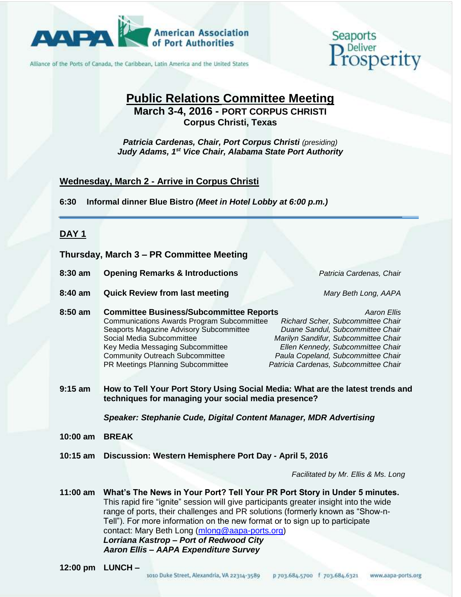

Alliance of the Ports of Canada, the Caribbean, Latin America and the United States

# Seaports

### **Public Relations Committee Meeting March 3-4, 2016 - PORT CORPUS CHRISTI Corpus Christi, Texas**

*Patricia Cardenas, Chair, Port Corpus Christi (presiding) Judy Adams, 1 st Vice Chair, Alabama State Port Authority*

#### **Wednesday, March 2 - Arrive in Corpus Christi**

**6:30 Informal dinner Blue Bistro** *(Meet in Hotel Lobby at 6:00 p.m.)*

#### **DAY 1**

**Thursday, March 3 – PR Committee Meeting**

**8:30 am Opening Remarks & Introductions** *Patricia Cardenas, Chair*

- **8:40 am Quick Review from last meeting** *Mary Beth Long, AAPA*
- **8:50 am Committee Business/Subcommittee Reports** *Aaron Ellis* Communications Awards Program Subcommittee *Richard Scher, Subcommittee Chair* Seaports Magazine Advisory Subcommittee *Duane Sandul, Subcommittee Chair* Social Media Subcommittee *Marilyn Sandifur, Subcommittee Chair* Key Media Messaging Subcommittee *Ellen Kennedy, Subcommittee Chair* Community Outreach Subcommittee *Paula Copeland, Subcommittee Chair* PR Meetings Planning Subcommittee *Patricia Cardenas, Subcommittee Chair*
- **9:15 am How to Tell Your Port Story Using Social Media: What are the latest trends and techniques for managing your social media presence?**

*Speaker: Stephanie Cude, Digital Content Manager, MDR Advertising*

- **10:00 am BREAK**
- **10:15 am Discussion: Western Hemisphere Port Day - April 5, 2016**

*Facilitated by Mr. Ellis & Ms. Long*

**11:00 am What's The News in Your Port? Tell Your PR Port Story in Under 5 minutes.**  This rapid fire "ignite" session will give participants greater insight into the wide range of ports, their challenges and PR solutions (formerly known as "Show-n-Tell"). For more information on the new format or to sign up to participate contact: Mary Beth Long [\(mlong@aapa-ports.org\)](mailto:mlong@aapa-ports.org) *Lorriana Kastrop – Port of Redwood City Aaron Ellis – AAPA Expenditure Survey*

**12:00 pm LUNCH –**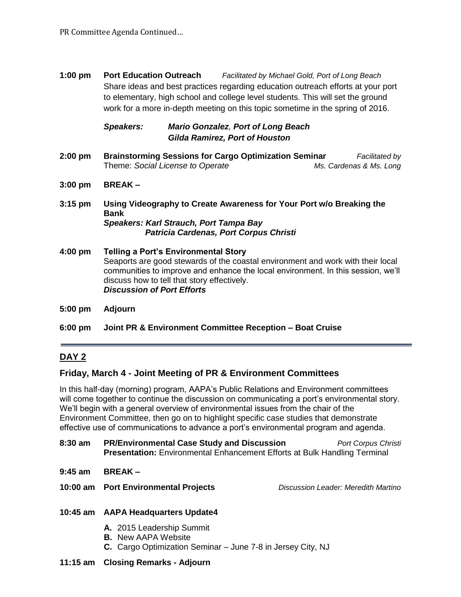**1:00 pm Port Education Outreach** *Facilitated by Michael Gold, Port of Long Beach* Share ideas and best practices regarding education outreach efforts at your port to elementary, high school and college level students. This will set the ground work for a more in-depth meeting on this topic sometime in the spring of 2016.

#### *Speakers: Mario Gonzalez, Port of Long Beach Gilda Ramirez, Port of Houston*

- **2:00 pm Brainstorming Sessions for Cargo Optimization Seminar** *Facilitated by*  Theme: *Social License to Operate Ms. Cardenas & Ms. Long*
- **3:00 pm BREAK –**
- **3:15 pm Using Videography to Create Awareness for Your Port w/o Breaking the Bank** *Speakers: Karl Strauch, Port Tampa Bay Patricia Cardenas, Port Corpus Christi*
- **4:00 pm Telling a Port's Environmental Story** Seaports are good stewards of the coastal environment and work with their local communities to improve and enhance the local environment. In this session, we'll discuss how to tell that story effectively. *Discussion of Port Efforts*
- **5:00 pm Adjourn**
- **6:00 pm Joint PR & Environment Committee Reception – Boat Cruise**

#### **DAY 2**

#### **Friday, March 4 - Joint Meeting of PR & Environment Committees**

In this half-day (morning) program, AAPA's Public Relations and Environment committees will come together to continue the discussion on communicating a port's environmental story. We'll begin with a general overview of environmental issues from the chair of the Environment Committee, then go on to highlight specific case studies that demonstrate effective use of communications to advance a port's environmental program and agenda.

- **8:30 am PR/Environmental Case Study and Discussion** *Port Corpus Christi* **Presentation:** Environmental Enhancement Efforts at Bulk Handling Terminal
- **9:45 am BREAK –**
- **10:00 am Port Environmental Projects** *Discussion Leader: Meredith Martino*

- **10:45 am AAPA Headquarters Update4**
	- **A.** 2015 Leadership Summit
	- **B.** New AAPA Website
	- **C.** Cargo Optimization Seminar June 7-8 in Jersey City, NJ
- **11:15 am Closing Remarks - Adjourn**